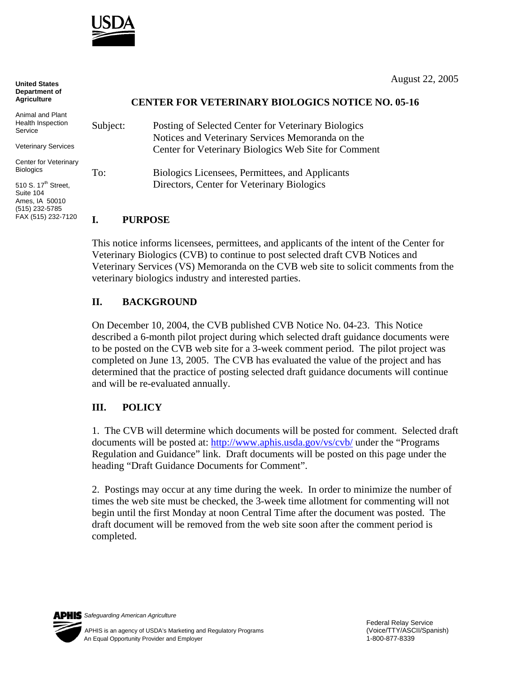

August 22, 2005

## **CENTER FOR VETERINARY BIOLOGICS NOTICE NO. 05-16**

| ction<br>ervices<br>terinary | Subject: | Posting of Selected Center for Veterinary Biologics<br>Notices and Veterinary Services Memoranda on the<br>Center for Veterinary Biologics Web Site for Comment |
|------------------------------|----------|-----------------------------------------------------------------------------------------------------------------------------------------------------------------|
| treet,                       | To:      | Biologics Licensees, Permittees, and Applicants<br>Directors, Center for Veterinary Biologics                                                                   |
| 010                          |          |                                                                                                                                                                 |

## **I. PURPOSE**

This notice informs licensees, permittees, and applicants of the intent of the Center for Veterinary Biologics (CVB) to continue to post selected draft CVB Notices and Veterinary Services (VS) Memoranda on the CVB web site to solicit comments from the veterinary biologics industry and interested parties.

## **II. BACKGROUND**

On December 10, 2004, the CVB published CVB Notice No. 04-23. This Notice described a 6-month pilot project during which selected draft guidance documents were to be posted on the CVB web site for a 3-week comment period. The pilot project was completed on June 13, 2005. The CVB has evaluated the value of the project and has determined that the practice of posting selected draft guidance documents will continue and will be re-evaluated annually.

## **III. POLICY**

1. The CVB will determine which documents will be posted for comment. Selected draft documents will be posted at: <http://www.aphis.usda.gov/vs/cvb/>under the "Programs" Regulation and Guidance" link. Draft documents will be posted on this page under the heading "Draft Guidance Documents for Comment".

2. Postings may occur at any time during the week. In order to minimize the number of times the web site must be checked, the 3-week time allotment for commenting will not begin until the first Monday at noon Central Time after the document was posted. The draft document will be removed from the web site soon after the comment period is completed.

*Safeguarding American Agriculture*



**United States Department of Agriculture**

Animal and Plant Health Inspect Service

Veterinary Se

Center for Ve **Biologics** 

510 S. 17<sup>th</sup> St Suite 104 Ames, IA 500 (515) 232-5785 FAX (515) 232-7120